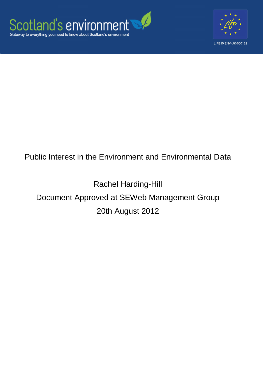



## Public Interest in the Environment and Environmental Data

# Rachel Harding-Hill Document Approved at SEWeb Management Group 20th August 2012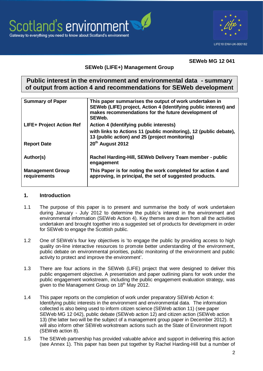



#### **SEWeb MG 12 041**

#### **SEWeb (LIFE+) Management Group**

#### **Public interest in the environment and environmental data - summary of output from action 4 and recommendations for SEWeb development**

| This paper summarises the output of work undertaken in<br>SEWeb (LIFE) project, Action 4 (Identifying public interest) and<br>makes recommendations for the future development of<br>SEWeb. |
|---------------------------------------------------------------------------------------------------------------------------------------------------------------------------------------------|
| Action 4 (Identifying public interests)                                                                                                                                                     |
| with links to Actions 11 (public monitoring), 12 (public debate),<br>13 (public action) and 25 (project monitoring)                                                                         |
| 20th August 2012                                                                                                                                                                            |
| Rachel Harding-Hill, SEWeb Delivery Team member - public<br>engagement                                                                                                                      |
| This Paper is for noting the work completed for action 4 and<br>approving, in principal, the set of suggested products.                                                                     |
|                                                                                                                                                                                             |

#### **1. Introduction**

- 1.1 The purpose of this paper is to present and summarise the body of work undertaken during January - July 2012 to determine the public"s interest in the environment and environmental information (SEWeb Action 4). Key themes are drawn from all the activities undertaken and brought together into a suggested set of products for development in order for SEWeb to engage the Scottish public.
- 1.2 One of SEWeb"s four key objectives is "to engage the public by providing access to high quality on-line interactive resources to promote better understanding of the environment, public debate on environmental priorities, public monitoring of the environment and public activity to protect and improve the environment".
- 1.3 There are four actions in the SEWeb (LIFE) project that were designed to deliver this public engagement objective. A presentation and paper outlining plans for work under the public engagement workstream, including the public engagement evaluation strategy, was given to the Management Group on 18<sup>th</sup> May 2012.
- 1.4 This paper reports on the completion of work under preparatory SEWeb Action 4: Identifying public interests in the environment and environmental data. The information collected is also being used to inform citizen science (SEWeb action 11) (see paper SEWeb MG 12 042), public debate (SEWeb action 12) and citizen action (SEWeb action 13) (the latter two will be the subject of a management group paper in December 2012). It will also inform other SEWeb workstream actions such as the State of Environment report (SEWeb action 8).
- 1.5 The SEWeb partnership has provided valuable advice and support in delivering this action (see Annex 1). This paper has been put together by Rachel Harding-Hill but a number of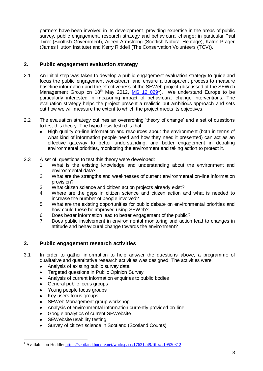partners have been involved in its development, providing expertise in the areas of public survey, public engagement, research strategy and behavioural change; in particular Paul Tyrer (Scottish Government), Aileen Armstrong (Scottish Natural Heritage), Katrin Prager (James Hutton Institute) and Kerry Riddell (The Conservation Volunteers (TCV)).

#### **2. Public engagement evaluation strategy**

- 2.1 An initial step was taken to develop a public engagement evaluation strategy to quide and focus the public engagement workstream and ensure a transparent process to measure baseline information and the effectiveness of the SEWeb project (discussed at the SEWeb Management Group on 18<sup>th</sup> May 2012, [MG 12 029](https://scotland.huddle.net/workspace/17621249/files/#19520812)<sup>1</sup>). We understand Europe to be particularly interested in measuring impact of behavioural change interventions. The evaluation strategy helps the project present a realistic but ambitious approach and sets out how we will measure the extent to which the project meets its objectives.
- 2.2 The evaluation strategy outlines an overarching "theory of change" and a set of questions to test this theory. The hypothesis tested is that:
	- High quality on-line information and resources about the environment (both in terms of  $\bullet$ what kind of information people need and how they need it presented) can act as an effective gateway to better understanding, and better engagement in debating environmental priorities, monitoring the environment and taking action to protect it.
- 2.3 A set of questions to test this theory were developed:
	- 1. What is the existing knowledge and understanding about the environment and environmental data?
	- 2. What are the strengths and weaknesses of current environmental on-line information provision?
	- 3. What citizen science and citizen action projects already exist?
	- 4. Where are the gaps in citizen science and citizen action and what is needed to increase the number of people involved?
	- 5. What are the existing opportunities for public debate on environmental priorities and how could these be improved using SEWeb?
	- 6. Does better information lead to better engagement of the public?
	- 7. Does public involvement in environmental monitoring and action lead to changes in attitude and behavioural change towards the environment?

#### **3. Public engagement research activities**

- 3.1 In order to gather information to help answer the questions above, a programme of qualitative and quantitative research activities was designed. The activities were:
	- Analysis of existing public survey data  $\bullet$
	- Targeted questions in Public Opinion Survey  $\bullet$
	- Analysis of current information enquiries to public bodies  $\bullet$
	- General public focus groups  $\bullet$
	- Young people focus groups  $\bullet$
	- Key users focus groups
	- SEWeb Management group workshop
	- Analysis of environmental information currently provided on-line
	- Google analytics of current SEWebsite  $\bullet$
	- SEWebsite usability testing  $\bullet$
	- Survey of citizen science in Scotland (Scotland Counts)

 $\overline{a}$ <sup>1</sup> Available on Huddle:<https://scotland.huddle.net/workspace/17621249/files/#19520812>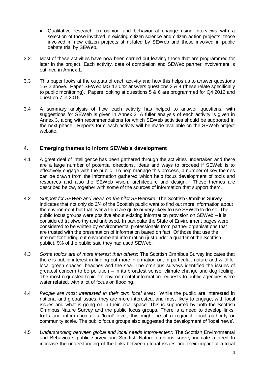- Qualitative research on opinion and behavioural change using interviews with a selection of those involved in existing citizen science and citizen action projects, those involved in new citizen projects stimulated by SEWeb and those involved in public debate trial by SEWeb.
- 3.2. Most of these activities have now been carried out leaving those that are programmed for later in the project. Each activity, date of completion and SEWeb partner involvement is outlined in Annex 1.
- 3.3 This paper looks at the outputs of each activity and how this helps us to answer questions 1 & 2 above. Paper SEWeb MG 12 042 answers questions 3 & 4 (these relate specifically to public monitoring). Papers looking at questions 5 & 6 are programmed for Q4 2012 and question 7 in 2015.
- 3.4 A summary analysis of how each activity has helped to answer questions, with suggestions for SEWeb is given in Annex 2. A fuller analysis of each activity is given in Annex 3, along with recommendations for which SEWeb activities should be supported in the next phase. Reports form each activity will be made available on the SEWeb project website.

#### **4. Emerging themes to inform SEWeb's development**

- 4.1 A great deal of intelligence has been gathered through the activities undertaken and there are a large number of potential directions, ideas and ways to proceed if SEWeb is to effectively engage with the public. To help manage this process, a number of key themes can be drawn from the information gathered which help focus development of tools and resources and also the SEWeb vision, architecture and design. These themes are described below, together with some of the sources of information that support them.
- 4.2 *Support for SEWeb and views on the pilot SEWebsite:* The Scottish Omnibus Survey indicates that not only do 3/4 of the Scottish public want to find out more information about the environment but that over a third are quite or very likely to use SEWeb to do so. The public focus groups were positive about existing information provision on SEWeb – it is considered trustworthy and unbiased. In particular the State of Environment pages were considered to be written by environmental professionals from partner organisations that are trusted with the presentation of information based on fact. Of those that use the internet for finding out environmental information (just under a quarter of the Scottish public), 9% of the public said they had used SEWeb.
- 4.3 *Some topics are of more interest than others*: The Scottish Omnibus Survey indicates that there is public interest in finding out more information on, in particular, nature and wildlife, local green spaces, beaches and the sea. The omnibus surveys identified the issues of greatest concern to be pollution – in its broadest sense, climate change and dog fouling. The most requested topic for environmental information requests to public agencies were water related, with a lot of focus on flooding.
- 4.4 *People are most interested in their own local area*: While the public are interested in national and global issues, they are more interested, and most likely to engage, with local issues and what is going on in their local space. This is supported by both the Scottish Omnibus Nature Survey and the public focus groups. There is a need to develop links, tools and information at a "local" level; this might be at a regional, local authority or community scale. The public focus groups also suggested the development of "local news".
- 4.5 *Understanding between global and local needs improvement:* The Scottish Environmental and Behaviours public survey and Scottish Nature omnibus survey indicate a need to increase the understanding of the links between global issues and their impact at a local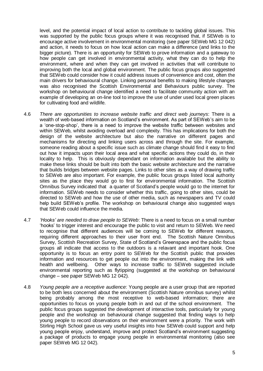level, and the potential impact of local action to contribute to tackling global issues. This was supported by the public focus groups where it was recognised that, if SEWeb is to encourage active involvement in environmental monitoring (see paper SEWeb MG 12 042) and action, it needs to focus on how local action can make a difference (and links to the bigger picture). There is an opportunity for SEWeb to prove information and a gateway to how people can get involved in environmental activity, what they can do to help the environment, where and when they can get involved in activities that will contribute to improving both the local and global environment. The public focus groups also suggested that SEWeb could consider how it could address issues of convenience and cost, often the main drivers for behavioural change. Linking personal benefits to making lifestyle changes was also recognised the Scottish Environmental and Behaviours public survey. The workshop on behavioural change identified a need to facilitate community action with an example of developing an on-line tool to improve the use of under used local green places for cultivating food and wildlife.

- 4.6 *There are opportunities to increase website traffic and direct web journeys*: There is a wealth of web-based information on Scotland's environment. As part of SEWeb's aim to be a "one-stop-shop", there is a need to improve the website traffic between websites and within SEWeb, whilst avoiding overload and complexity. This has implications for both the design of the website architecture but also the narrative on different pages and mechanisms for directing and linking users across and through the site. For example, someone reading about a specific issue such as climate change should find it easy to find out how it impacts upon their local area and what specific actions they could do, in their locality to help. This is obviously dependant on information available but the ability to make these links should be built into both the basic website architecture and the narrative that builds bridges between website pages. Links to other sites as a way of drawing traffic to SEWeb are also important. For example, the public focus groups listed local authority sites as the place they would go to first for environmental information. The Scottish Omnibus Survey indicated that a quarter of Scotland"s people would go to the internet for information. SEWeb needs to consider whether this traffic, going to other sites, could be directed to SEWeb and how the use of other media, such as newspapers and TV could help build SEWeb's profile. The workshop on behavioural change also suggested ways that SEWeb could influence the media.
- 4.7 *'Hooks' are needed to draw people to SEWeb*: There is a need to focus on a small number "hooks" to trigger interest and encourage the public to visit and return to SEWeb. We need to recognise that different audiences will be coming to SEWeb for different reasons, requiring different approaches to their user front end. The Scottish Nature Omnibus Survey, Scottish Recreation Survey, State of Scotland"s Greenspace and the public focus groups all indicate that access to the outdoors is a relavant and important hook. One opportunity is to focus an entry point to SEWeb for the Scottish public that provides information and resources to get people out into the environment, making the link with health and wellbeing. Other ways to increase traffic to SEWeb suggested include environmental reporting such as flytipping (suggested at the workshop on behavioural change – see paper SEWeb MG 12 042).
- 4.8 *Young people are a receptive audience*: Young people are a user group that are reported to be both less concerned about the environment (Scottish Nature omnibus survey) whilst being probably among the most receptive to web-based information; there are opportunities to focus on young people both in and out of the school environment. The public focus groups suggested the development of interactive tools, particularly for young people and the workshop on behavioural change suggested that finding ways to help young people to record observations on their environment were a priority. The work with Stirling High School gave us very useful insights into how SEWeb could support and help young people enjoy, understand, improve and protect Scotland"s environment suggesting a package of products to engage young people in environmental monitoring (also see paper SEWeb MG 12 042).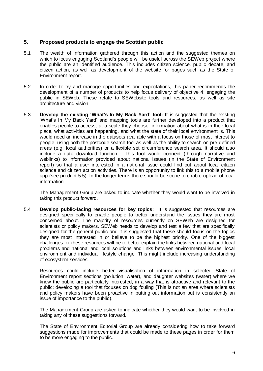#### **5. Proposed products to engage the Scottish public**

- 5.1 The wealth of information gathered through this action and the suggested themes on which to focus engaging Scotland"s people will be useful across the SEWeb project where the public are an identified audience. This includes citizen science, public debate, and citizen action, as well as development of the website for pages such as the State of Environment report.
- 5.2 In order to try and manage opportunities and expectations, this paper recommends the development of a number of products to help focus delivery of objective 4; engaging the public in SEWeb. These relate to SEWebsite tools and resources, as well as site architecture and vision.
- 5.3 **Develop the existing 'What's In My Back Yard' tool:** It is suggested that the existing "What"s In My Back Yard" and mapping tools are further developed into a product that enables people to access, at a scale they choose, information about what is in their local place, what activities are happening, and what the state of their local environment is. This would need an increase in the datasets available with a focus on those of most interest to people, using both the postcode search tool as well as the ability to search on pre-defined areas (e.g. local authorities) or a flexible set circumference search area. It should also include a data download function. This tool would connect (through narrative and weblinks) to information provided about national issues (in the State of Environment report) so that a user interested in a national issue could find out about local citizen science and citizen action activities. There is an opportunity to link this to a mobile phone app (see product 5.5). In the longer terms there should be scope to enable upload of local information.

The Management Group are asked to indicate whether they would want to be involved in taking this product forward.

5.4 **Develop public-facing resources for key topics:** It is suggested that resources are designed specifically to enable people to better understand the issues they are most concerned about. The majority of resources currently on SEWeb are designed for scientists or policy makers. SEWeb needs to develop and test a few that are specifically designed for the general public and it is suggested that these should focus on the topics they are most interested in or believe to be the highest priority. One of the biggest challenges for these resources will be to better explain the links between national and local problems and national and local solutions and links between environmental issues, local environment and individual lifestyle change. This might include increasing understanding of ecosystem services.

Resources could include better visualisation of information in selected State of Environment report sections (pollution, water), and daughter websites (water) where we know the public are particularly interested, in a way that is attractive and relevant to the public; developing a tool that focuses on dog fouling (This is not an area where scientists and policy makers have been proactive in putting out information but is consistently an issue of importance to the public).

The Management Group are asked to indicate whether they would want to be involved in taking any of these suggestions forward.

The State of Environment Editorial Group are already considering how to take forward suggestions made for improvements that could be made to these pages in order for them to be more engaging to the public.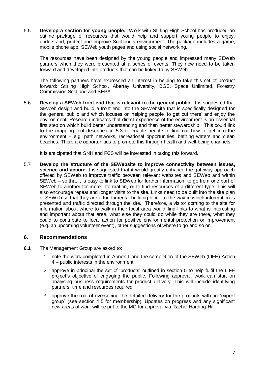5.5 **Develop a section for young people:** Work with Stirling High School has produced an outline package of resources that would help and support young people to enjoy, understand, protect and improve Scotland"s environment. The package includes a game, mobile phone app, SEWeb youth pages and using social networking.

The resources have been designed by the young people and impressed many SEWeb partners when they were presented at a series of events. They now need to be taken forward and developed into products that can be linked to by SEWeb.

The following partners have expressed an interest in helping to take this set of product forward: Stirling High School, Abertay University, BGS, Space Unlimited, Forestry Commission Scotland and SEPA.

5.6 **Develop a SEWeb front end that is relevant to the general public:** It is suggested that SEWeb design and build a front end into the SEWebsite that is specifically designed for the general public and which focuses on helping people "to get out there" and enjoy the environment. Research indicates that direct experience of the environment is an essential first step on which build better understanding and then better stewardship. This could link to the mapping tool described in 5.3 to enable people to find out how to get into the environment – e.g. path networks, recreational opportunities, bathing waters and clean beaches. There are opportunities to promote this through health and well-being channels.

It is anticipated that SNH and FCS will be interested in taking this forward.

5.7 **Develop the structure of the SEWebsite to improve connectivity between issues,**  science and action: It is suggested that it would greatly enhance the gateway approach offered by SEWeb to improve traffic between relevant websites and SEWeb and within SEWeb – so that it is easy to link to SEWeb for further information, to go from one part of SEWeb to another for more information, or to find resources of a different type. This will also encourage repeat and longer visits to the site. Links need to be built into the site plan of SEWeb so that they are a fundamental building block to the way in which information is presented and traffic directed through the site. Therefore, a visitor coming to the site for information about where to walk in their local area would find links to what is interesting and important about that area, what else they could do while they are there, what they could to contribute to local action for positive environmental protection or improvement (e.g. an upcoming volunteer event), other suggestions of where to go and so on.

#### **6. Recommendations**

- **6.1** The Management Group are asked to:
	- 1. note the work completed in Annex 1 and the completion of the SEWeb (LIFE) Action 4 – public interests in the environment
	- 2. approve in principal the set of "products" outlined in section 5 to help fulfil the LIFE project"s objective of engaging the public. Following approval, work can start on analysing business requirements for product delivery. This will include identifying partners, time and resources required
	- 3. approve the role of overseeing the detailed delivery for the products with an "expert group" (see section 1.5 for membership). Updates on progress and any significant new areas of work will be put to the MG for approval via Rachel Harding-Hill.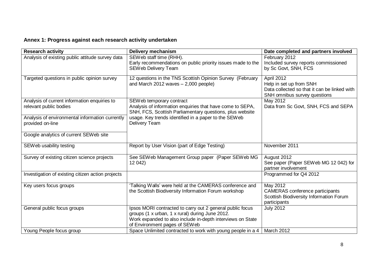### **Annex 1: Progress against each research activity undertaken**

| <b>Research activity</b>                          | <b>Delivery mechanism</b>                                                                                        | Date completed and partners involved                         |
|---------------------------------------------------|------------------------------------------------------------------------------------------------------------------|--------------------------------------------------------------|
| Analysis of existing public attitude survey data  | SEWeb staff time (RHH).                                                                                          | February 2012                                                |
|                                                   | Early recommendations on public priority issues made to the                                                      | Included survey reports commissioned                         |
|                                                   | SEWeb Delivery Team                                                                                              | by Sc Govt, SNH, FCS                                         |
| Targeted questions in public opinion survey       | 12 questions in the TNS Scottish Opinion Survey (February                                                        | April 2012                                                   |
|                                                   | and March 2012 waves $-2,000$ people)                                                                            | Help in set up from SNH                                      |
|                                                   |                                                                                                                  | Data collected so that it can be linked with                 |
|                                                   |                                                                                                                  | SNH omnibus survey questions                                 |
| Analysis of current information enquiries to      | SEW eb temporary contract                                                                                        | May 2012                                                     |
| relevant public bodies                            | Analysis of information enquiries that have come to SEPA,                                                        | Data from Sc Govt, SNH, FCS and SEPA                         |
| Analysis of environmental information currently   | SNH, FCS, Scottish Parliamentary questions, plus website<br>usage. Key trends identified in a paper to the SEWeb |                                                              |
| provided on-line                                  | Delivery Team                                                                                                    |                                                              |
|                                                   |                                                                                                                  |                                                              |
| Google analytics of current SEWeb site            |                                                                                                                  |                                                              |
|                                                   |                                                                                                                  |                                                              |
| SEW eb usability testing                          | Report by User Vision (part of Edge Testing)                                                                     | November 2011                                                |
|                                                   |                                                                                                                  |                                                              |
| Survey of existing citizen science projects       | See SEWeb Management Group paper (Paper SEWeb MG                                                                 | August 2012                                                  |
|                                                   | 12 042)                                                                                                          | See paper (Paper SEWeb MG 12 042) for<br>partner involvement |
| Investigation of existing citizen action projects |                                                                                                                  | Programmed for Q4 2012                                       |
|                                                   |                                                                                                                  |                                                              |
| Key users focus groups                            | 'Talking Walls' were held at the CAMERAS conference and                                                          | May 2012                                                     |
|                                                   | the Scottish Biodiversity Information Forum workshop                                                             | <b>CAMERAS</b> conference participants                       |
|                                                   |                                                                                                                  | Scottish Biodiversity Information Forum                      |
|                                                   |                                                                                                                  | participants                                                 |
| General public focus groups                       | Ipsos MORI contracted to carry out 2 general public focus                                                        | <b>July 2012</b>                                             |
|                                                   | groups (1 x urban, 1 x rural) during June 2012.                                                                  |                                                              |
|                                                   | Work expanded to also include in-depth interviews on State<br>of Environment pages of SEWeb                      |                                                              |
| Young People focus group                          | Space Unlimited contracted to work with young people in a 4                                                      | March 2012                                                   |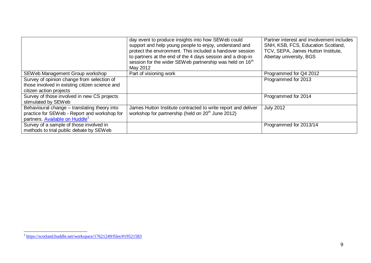|                                                | day event to produce insights into how SEWeb could<br>support and help young people to enjoy, understand and<br>protect the environment. This included a handover session<br>to partners at the end of the 4 days session and a drop-in<br>session for the wider SEWeb partnership was held on 16 <sup>th</sup><br>May 2012 | Partner interest and involvement includes<br>SNH, KSB, FCS, Education Scotland,<br>TCV, SEPA, James Hutton Institute,<br>Abertay university, BGS |
|------------------------------------------------|-----------------------------------------------------------------------------------------------------------------------------------------------------------------------------------------------------------------------------------------------------------------------------------------------------------------------------|--------------------------------------------------------------------------------------------------------------------------------------------------|
| SEWeb Management Group workshop                | Part of visioning work                                                                                                                                                                                                                                                                                                      | Programmed for Q4 2012                                                                                                                           |
| Survey of opinion change from selection of     |                                                                                                                                                                                                                                                                                                                             | Programmed for 2013                                                                                                                              |
| those involved in existing citizen science and |                                                                                                                                                                                                                                                                                                                             |                                                                                                                                                  |
| citizen action projects                        |                                                                                                                                                                                                                                                                                                                             |                                                                                                                                                  |
| Survey of those involved in new CS projects    |                                                                                                                                                                                                                                                                                                                             | Programmed for 2014                                                                                                                              |
| stimulated by SEWeb                            |                                                                                                                                                                                                                                                                                                                             |                                                                                                                                                  |
| Behavioural change - translating theory into   | James Hutton Institute contracted to write report and deliver                                                                                                                                                                                                                                                               | <b>July 2012</b>                                                                                                                                 |
| practice for SEWeb - Report and workshop for   | workshop for partnership (held on 20 <sup>th</sup> June 2012)                                                                                                                                                                                                                                                               |                                                                                                                                                  |
| partners. Available on Huddle <sup>2</sup>     |                                                                                                                                                                                                                                                                                                                             |                                                                                                                                                  |
| Survey of a sample of those involved in        |                                                                                                                                                                                                                                                                                                                             | Programmed for 2013/14                                                                                                                           |
| methods to trial public debate by SEWeb        |                                                                                                                                                                                                                                                                                                                             |                                                                                                                                                  |

 2 <https://scotland.huddle.net/workspace/17621249/files/#19521583>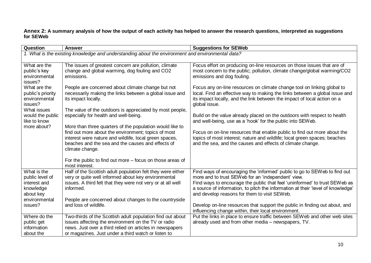**Annex 2: A summary analysis of how the output of each activity has helped to answer the research questions, interpreted as suggestions for SEWeb**

| <b>Question</b>                    | <b>Answer</b>                                                                                                      | <b>Suggestions for SEWeb</b>                                                                                                                            |
|------------------------------------|--------------------------------------------------------------------------------------------------------------------|---------------------------------------------------------------------------------------------------------------------------------------------------------|
|                                    | 1. What is the existing knowledge and understanding about the environment and environmental data?                  |                                                                                                                                                         |
|                                    |                                                                                                                    |                                                                                                                                                         |
| What are the                       | The issues of greatest concern are pollution, climate                                                              | Focus effort on producing on-line resources on those issues that are of                                                                                 |
| public's key                       | change and global warming, dog fouling and CO2                                                                     | most concern to the public; pollution, climate change/global warming/CO2                                                                                |
| environmental                      | emissions.                                                                                                         | emissions and dog fouling.                                                                                                                              |
| issues?                            |                                                                                                                    |                                                                                                                                                         |
| What are the                       | People are concerned about climate change but not                                                                  | Focus any on-line resources on climate change tool on linking global to                                                                                 |
| public's priority<br>environmental | necessarily making the links between a global issue and<br>its impact locally.                                     | local. Find an effective way to making the links between a global issue and<br>its impact locally, and the link between the impact of local action on a |
| issues?                            |                                                                                                                    | global issue.                                                                                                                                           |
| What issues                        | The value of the outdoors is appreciated by most people,                                                           |                                                                                                                                                         |
| would the public                   | especially for health and well-being.                                                                              | Build on the value already placed on the outdoors with respect to health                                                                                |
| like to know                       |                                                                                                                    | and well-being, use as a 'hook' for the public into SEWeb.                                                                                              |
| more about?                        | More than three quarters of the population would like to                                                           |                                                                                                                                                         |
|                                    | find out more about the environment; topics of most                                                                | Focus on on-line resources that enable public to find out more about the                                                                                |
|                                    | interest were nature and wildlife, local green spaces,                                                             | topics of most interest; nature and wildlife; local green spaces; beaches                                                                               |
|                                    | beaches and the sea and the causes and effects of                                                                  | and the sea, and the causes and effects of climate change.                                                                                              |
|                                    | climate change.                                                                                                    |                                                                                                                                                         |
|                                    |                                                                                                                    |                                                                                                                                                         |
|                                    | For the public to find out more – focus on those areas of                                                          |                                                                                                                                                         |
|                                    | most interest.                                                                                                     |                                                                                                                                                         |
| What is the                        | Half of the Scottish adult population felt they were either<br>very or quite well informed about key environmental | Find ways of encouraging the 'informed' public to go to SEWeb to find out<br>more and to trust SEWeb for an 'independent' view.                         |
| public level of<br>interest and    | issues. A third felt that they were not very or at all well                                                        | Find ways to encourage the public that feel 'uninformed' to trust SEWeb as                                                                              |
| knowledge                          | informed.                                                                                                          | a source of information, to pitch the information at their 'level of knowledge'                                                                         |
| about key                          |                                                                                                                    | and develop reasons for them to visit SEWeb.                                                                                                            |
| environmental                      | People are concerned about changes to the countryside                                                              |                                                                                                                                                         |
| issues?                            | and loss of wildlife.                                                                                              | Develop on-line resources that support the public in finding out about, and                                                                             |
|                                    |                                                                                                                    | influencing change within, their local environment.                                                                                                     |
| Where do the                       | Two-thirds of the Scottish adult population find out about                                                         | Put the links in place to ensure traffic between SEWeb and other web sites                                                                              |
| public get                         | issues affecting the environment on the TV or radio                                                                | already used and from other media - newspapers, TV.                                                                                                     |
| information                        | news. Just over a third relied on articles in newspapers                                                           |                                                                                                                                                         |
| about the                          | or magazines. Just under a third watch or listen to                                                                |                                                                                                                                                         |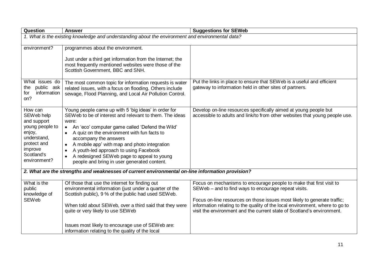| <b>Question</b>                                                                                                                          | <b>Answer</b>                                                                                                                                                                                                                                                                                                                                                                                                                                                                     | <b>Suggestions for SEWeb</b>                                                                                                                                                                                                                                                                                                                                      |
|------------------------------------------------------------------------------------------------------------------------------------------|-----------------------------------------------------------------------------------------------------------------------------------------------------------------------------------------------------------------------------------------------------------------------------------------------------------------------------------------------------------------------------------------------------------------------------------------------------------------------------------|-------------------------------------------------------------------------------------------------------------------------------------------------------------------------------------------------------------------------------------------------------------------------------------------------------------------------------------------------------------------|
|                                                                                                                                          | 1. What is the existing knowledge and understanding about the environment and environmental data?                                                                                                                                                                                                                                                                                                                                                                                 |                                                                                                                                                                                                                                                                                                                                                                   |
| environment?                                                                                                                             | programmes about the environment.<br>Just under a third get information from the Internet; the<br>most frequently mentioned websites were those of the<br>Scottish Government, BBC and SNH.                                                                                                                                                                                                                                                                                       |                                                                                                                                                                                                                                                                                                                                                                   |
| What issues do<br>public ask<br>the<br>information<br>for<br>on?                                                                         | The most common topic for information requests is water<br>related issues, with a focus on flooding. Others include<br>sewage, Flood Planning, and Local Air Pollution Control.                                                                                                                                                                                                                                                                                                   | Put the links in place to ensure that SEWeb is a useful and efficient<br>gateway to information held in other sites of partners.                                                                                                                                                                                                                                  |
| How can<br>SEWeb help<br>and support<br>young people to<br>enjoy,<br>understand,<br>protect and<br>improve<br>Scotland's<br>environment? | Young people came up with 5 'big ideas' in order for<br>SEWeb to be of interest and relevant to them. The ideas<br>were:<br>An 'eco' computer game called 'Defend the Wild'<br>$\bullet$<br>A quiz on the environment with fun facts to<br>accompany the answers<br>A mobile app' with map and photo integration<br>$\bullet$<br>A youth-led approach to using Facebook<br>A redesigned SEWeb page to appeal to young<br>$\bullet$<br>people and bring in user generated content. | Develop on-line resources specifically aimed at young people but<br>accessible to adults and link/to from other websites that young people use.                                                                                                                                                                                                                   |
|                                                                                                                                          | 2. What are the strengths and weaknesses of current environmental on-line information provision?                                                                                                                                                                                                                                                                                                                                                                                  |                                                                                                                                                                                                                                                                                                                                                                   |
| What is the<br>public<br>knowledge of<br><b>SEWeb</b>                                                                                    | Of those that use the internet for finding out<br>environmental information (just under a quarter of the<br>Scottish public), 9 % of the public had used SEWeb.<br>When told about SEWeb, over a third said that they were<br>quite or very likely to use SEWeb                                                                                                                                                                                                                   | Focus on mechanisms to encourage people to make that first visit to<br>SEWeb - and to find ways to encourage repeat visits.<br>Focus on-line resources on those issues most likely to generate traffic;<br>information relating to the quality of the local environment, where to go to<br>visit the environment and the current state of Scotland's environment. |
|                                                                                                                                          | Issues most likely to encourage use of SEW eb are:<br>information relating to the quality of the local                                                                                                                                                                                                                                                                                                                                                                            |                                                                                                                                                                                                                                                                                                                                                                   |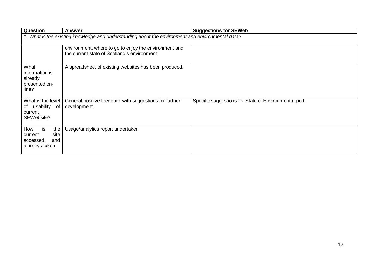| <b>Question</b>                                                          | <b>Answer</b>                                                                                         | <b>Suggestions for SEWeb</b>                          |
|--------------------------------------------------------------------------|-------------------------------------------------------------------------------------------------------|-------------------------------------------------------|
|                                                                          | 1. What is the existing knowledge and understanding about the environment and environmental data?     |                                                       |
|                                                                          | environment, where to go to enjoy the environment and<br>the current state of Scotland's environment. |                                                       |
| What<br>information is<br>already<br>presented on-<br>line?              | A spreadsheet of existing websites has been produced.                                                 |                                                       |
| What is the level<br>of usability of<br>current<br>SEW ebsite?           | General positive feedback with suggestions for further<br>development.                                | Specific suggestions for State of Environment report. |
| How<br>the<br>is<br>site<br>current<br>and<br>accessed<br>journeys taken | Usage/analytics report undertaken.                                                                    |                                                       |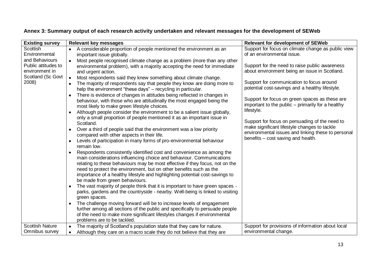|  |  | Annex 3: Summary output of each research activity undertaken and relevant messages for the development of SEWeb |
|--|--|-----------------------------------------------------------------------------------------------------------------|
|--|--|-----------------------------------------------------------------------------------------------------------------|

| <b>Existing survey</b>              | <b>Relevant key messages</b>                                                                                                                          | <b>Relevant for development of SEWeb</b>                                                       |
|-------------------------------------|-------------------------------------------------------------------------------------------------------------------------------------------------------|------------------------------------------------------------------------------------------------|
| Scottish                            | A considerable proportion of people mentioned the environment as an                                                                                   | Support for focus on climate change as public view                                             |
| Environmental                       | important issue globally.                                                                                                                             | of an environmental issue.                                                                     |
| and Behaviours                      | Most people recognised climate change as a problem (more than any other                                                                               |                                                                                                |
| Public attitudes to                 | environmental problem), with a majority accepting the need for immediate                                                                              | Support for the need to raise public awareness                                                 |
| environment in<br>Scotland (Sc Govt | and urgent action.                                                                                                                                    | about environment being an issue in Scotland.                                                  |
| 2008)                               | Most respondents said they knew something about climate change.<br>$\bullet$                                                                          | Support for communication to focus around                                                      |
|                                     | The majority of respondents say that people they know are doing more to<br>help the environment "these days" – recycling in particular.               | potential cost-savings and a healthy lifestyle.                                                |
|                                     | There is evidence of changes in attitudes being reflected in changes in<br>$\bullet$                                                                  |                                                                                                |
|                                     | behaviour, with those who are attitudinally the most engaged being the                                                                                | Support for focus on green spaces as these are                                                 |
|                                     | most likely to make green lifestyle choices.                                                                                                          | important to the public – primarily for a healthy                                              |
|                                     | Although people consider the environment to be a salient issue globally,                                                                              | lifestyle.                                                                                     |
|                                     | only a small proportion of people mentioned it as an important issue in                                                                               |                                                                                                |
|                                     | Scotland.                                                                                                                                             | Support for focus on persuading of the need to<br>make significant lifestyle changes to tackle |
|                                     | Over a third of people said that the environment was a low priority<br>$\bullet$                                                                      | environmental issues and linking these to personal                                             |
|                                     | compared with other aspects in their life.                                                                                                            | benefits – cost saving and health.                                                             |
|                                     | Levels of participation in many forms of pro-environmental behaviour<br>remain low.                                                                   |                                                                                                |
|                                     | Respondents consistently identified cost and convenience as among the<br>$\bullet$                                                                    |                                                                                                |
|                                     | main considerations influencing choice and behaviour. Communications                                                                                  |                                                                                                |
|                                     | relating to these behaviours may be most effective if they focus, not on the                                                                          |                                                                                                |
|                                     | need to protect the environment, but on other benefits such as the                                                                                    |                                                                                                |
|                                     | importance of a healthy lifestyle and highlighting potential cost-savings to                                                                          |                                                                                                |
|                                     | be made from green behaviours.                                                                                                                        |                                                                                                |
|                                     | The vast majority of people think that it is important to have green spaces -                                                                         |                                                                                                |
|                                     | parks, gardens and the countryside - nearby. Well-being is linked to visiting                                                                         |                                                                                                |
|                                     | green spaces.                                                                                                                                         |                                                                                                |
|                                     | The challenge moving forward will be to increase levels of engagement<br>further among all sections of the public and specifically to persuade people |                                                                                                |
|                                     | of the need to make more significant lifestyles changes if environmental                                                                              |                                                                                                |
|                                     | problems are to be tackled.                                                                                                                           |                                                                                                |
| <b>Scottish Nature</b>              | The majority of Scotland's population state that they care for nature.<br>$\bullet$                                                                   | Support for provisions of information about local                                              |
| Omnibus survey                      | Although they care on a macro scale they do not believe that they are<br>٠                                                                            | environmental change.                                                                          |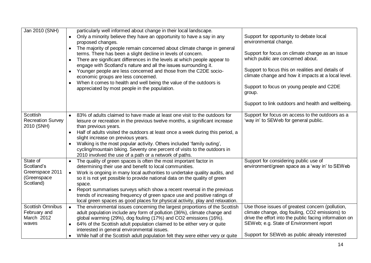| Jan 2010 (SNH)                                                        | particularly well informed about change in their local landscape.<br>Only a minority believe they have an opportunity to have a say in any<br>$\bullet$<br>proposed changes.<br>The majority of people remain concerned about climate change in general<br>$\bullet$<br>terms. There has been a slight decline in levels of concern.<br>There are significant differences in the levels at which people appear to<br>$\bullet$<br>engage with Scotland's nature and all the issues surrounding it.<br>Younger people are less concerned and those from the C2DE socio-<br>$\bullet$<br>economic groups are less concerned.<br>When it comes to health and well being the value of the outdoors is<br>appreciated by most people in the population. | Support for opportunity to debate local<br>environmental change.<br>Support for focus on climate change as an issue<br>which public are concerned about.<br>Support to focus this on realities and details of<br>climate change and how it impacts at a local level.<br>Support to focus on young people and C2DE<br>group.<br>Support to link outdoors and health and wellbeing. |
|-----------------------------------------------------------------------|----------------------------------------------------------------------------------------------------------------------------------------------------------------------------------------------------------------------------------------------------------------------------------------------------------------------------------------------------------------------------------------------------------------------------------------------------------------------------------------------------------------------------------------------------------------------------------------------------------------------------------------------------------------------------------------------------------------------------------------------------|-----------------------------------------------------------------------------------------------------------------------------------------------------------------------------------------------------------------------------------------------------------------------------------------------------------------------------------------------------------------------------------|
| Scottish<br><b>Recreation Survey</b><br>2010 (SNH)                    | 83% of adults claimed to have made at least one visit to the outdoors for<br>leisure or recreation in the previous twelve months, a significant increase<br>than previous years.<br>Half of adults visited the outdoors at least once a week during this period, a<br>$\bullet$<br>slight increase on previous years.<br>Walking is the most popular activity. Others included 'family outing',<br>$\bullet$<br>cycling/mountain biking. Seventy one percent of visits to the outdoors in<br>2010 involved the use of a path or a network of paths.                                                                                                                                                                                                | Support for focus on access to the outdoors as a<br>'way in' to SEW eb for general public.                                                                                                                                                                                                                                                                                        |
| State of<br>Scotland's<br>Greenspace 2011<br>(Greenspace<br>Scotland) | The quality of green spaces is often the most important factor in<br>$\bullet$<br>determining their use and benefit to local communities.<br>Work is ongoing in many local authorities to undertake quality audits, and<br>$\bullet$<br>so it is not yet possible to provide national data on the quality of green<br>space.<br>Report summarises surveys which show a recent reversal in the previous<br>$\bullet$<br>trends of increasing frequency of green space use and positive ratings of<br>local green spaces as good places for physical activity, play and relaxation.                                                                                                                                                                  | Support for considering public use of<br>environment/green space as a 'way in' to SEWeb                                                                                                                                                                                                                                                                                           |
| <b>Scottish Omnibus</b><br>February and<br>March 2012<br>waves        | The environmental issues concerning the largest proportions of the Scottish<br>$\bullet$<br>adult population include any form of pollution (36%), climate change and<br>global warming (29%), dog fouling (17%) and CO2 emissions (16%).<br>64% of the Scottish adult population claimed to be either very or quite<br>$\bullet$<br>interested in general environmental issues.<br>While half of the Scottish adult population felt they were either very or quite                                                                                                                                                                                                                                                                                 | Use those issues of greatest concern (pollution,<br>climate change, dog fouling, CO2 emissions) to<br>drive the effort into the public facing information on<br>SEWeb; e.g. State of Environment report<br>Support for SEWeb as public already interested                                                                                                                         |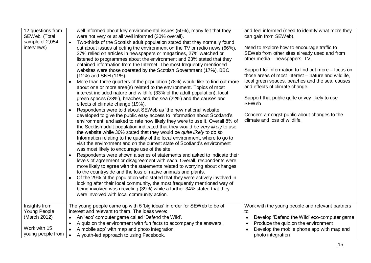| 12 questions from<br>SEWeb. (Total<br>sample of 2,054<br>interviews)                      | well informed about key environmental issues (50%), many felt that they<br>were not very or at all well informed (30% overall).<br>Two-thirds of the Scottish adult population stated that they normally found<br>$\bullet$<br>out about issues affecting the environment on the TV or radio news (66%),<br>37% relied on articles in newspapers or magazines, 27% watched or<br>listened to programmes about the environment and 23% stated that they<br>obtained information from the Internet. The most frequently mentioned<br>websites were those operated by the Scottish Government (17%), BBC<br>(12%) and SNH (11%).<br>More than three quarters of the population (78%) would like to find out more<br>$\bullet$<br>about one or more area(s) related to the environment. Topics of most<br>interest included nature and wildlife (33% of the adult population), local<br>green spaces (23%), beaches and the sea (22%) and the causes and<br>effects of climate change (19%).<br>Respondents were told about SEWeb as 'the new national website<br>$\bullet$<br>developed to give the public easy access to information about Scotland's<br>environment' and asked to rate how likely they were to use it. Overall 8% of<br>the Scottish adult population indicated that they would be very likely to use<br>the website while 30% stated that they would be quite likely to do so.<br>Information relating to the quality of the local environment, where to go to<br>visit the environment and on the current state of Scotland's environment<br>was most likely to encourage use of the site.<br>Respondents were shown a series of statements and asked to indicate their<br>$\bullet$<br>levels of agreement or disagreement with each. Overall, respondents were<br>more likely to agree with the statements related to worrying about changes<br>to the countryside and the loss of native animals and plants.<br>Of the 29% of the population who stated that they were actively involved in<br>$\bullet$<br>looking after their local community, the most frequently mentioned way of<br>being involved was recycling (39%) while a further 34% stated that they<br>were involved with local community action. | and feel informed (need to identify what more they<br>can gain from SEWeb).<br>Need to explore how to encourage traffic to<br>SEWeb from other sites already used and from<br>other media - newspapers, TV.<br>Support for information to find out more – focus on<br>those areas of most interest - nature and wildlife,<br>local green spaces, beaches and the sea, causes<br>and effects of climate change.<br>Support that public quite or vey likely to use<br><b>SEWeb</b><br>Concern amongst public about changes to the<br>climate and loss of wildlife. |
|-------------------------------------------------------------------------------------------|------------------------------------------------------------------------------------------------------------------------------------------------------------------------------------------------------------------------------------------------------------------------------------------------------------------------------------------------------------------------------------------------------------------------------------------------------------------------------------------------------------------------------------------------------------------------------------------------------------------------------------------------------------------------------------------------------------------------------------------------------------------------------------------------------------------------------------------------------------------------------------------------------------------------------------------------------------------------------------------------------------------------------------------------------------------------------------------------------------------------------------------------------------------------------------------------------------------------------------------------------------------------------------------------------------------------------------------------------------------------------------------------------------------------------------------------------------------------------------------------------------------------------------------------------------------------------------------------------------------------------------------------------------------------------------------------------------------------------------------------------------------------------------------------------------------------------------------------------------------------------------------------------------------------------------------------------------------------------------------------------------------------------------------------------------------------------------------------------------------------------------------------------------------------------------------------------------------------------------|------------------------------------------------------------------------------------------------------------------------------------------------------------------------------------------------------------------------------------------------------------------------------------------------------------------------------------------------------------------------------------------------------------------------------------------------------------------------------------------------------------------------------------------------------------------|
| Insights from<br><b>Young People</b><br>(March 2012)<br>Work with 15<br>young people from | The young people came up with 5 'big ideas' in order for SEWeb to be of<br>interest and relevant to them. The ideas were:<br>An 'eco' computer game called 'Defend the Wild'.<br>$\bullet$<br>A quiz on the environment with fun facts to accompany the answers.<br>$\bullet$<br>A mobile app' with map and photo integration.<br>$\bullet$<br>A youth-led approach to using Facebook.<br>$\bullet$                                                                                                                                                                                                                                                                                                                                                                                                                                                                                                                                                                                                                                                                                                                                                                                                                                                                                                                                                                                                                                                                                                                                                                                                                                                                                                                                                                                                                                                                                                                                                                                                                                                                                                                                                                                                                                | Work with the young people and relevant partners<br>to:<br>Develop 'Defend the Wild' eco-computer game<br>$\bullet$<br>Produce the quiz on the environment<br>$\bullet$<br>Develop the mobile phone app with map and<br>photo integration                                                                                                                                                                                                                                                                                                                        |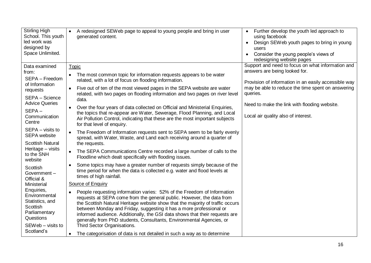| <b>Stirling High</b><br>School. This youth<br>led work was<br>designed by<br>Space Unlimited. | • A redesigned SEW eb page to appeal to young people and bring in user<br>generated content.                                                             | Further develop the youth led approach to<br>$\bullet$<br>using facebook<br>Design SEWeb youth pages to bring in young<br>users<br>Consider the young people's views of<br>redesigning website pages |
|-----------------------------------------------------------------------------------------------|----------------------------------------------------------------------------------------------------------------------------------------------------------|------------------------------------------------------------------------------------------------------------------------------------------------------------------------------------------------------|
| Data examined                                                                                 | Topic                                                                                                                                                    | Support and need to focus on what information and                                                                                                                                                    |
| from:                                                                                         | The most common topic for information requests appears to be water                                                                                       | answers are being looked for.                                                                                                                                                                        |
| SEPA - Freedom                                                                                | related, with a lot of focus on flooding information.                                                                                                    | Provision of information in an easily accessible way                                                                                                                                                 |
| of Information<br>requests                                                                    | Five out of ten of the most viewed pages in the SEPA website are water                                                                                   | may be able to reduce the time spent on answering                                                                                                                                                    |
| SEPA - Science                                                                                | related, with two pages on flooding information and two pages on river level                                                                             | queries.                                                                                                                                                                                             |
| <b>Advice Queries</b>                                                                         | data.                                                                                                                                                    | Need to make the link with flooding website.                                                                                                                                                         |
| $SEPA -$                                                                                      | Over the four years of data collected on Official and Ministerial Enquiries,                                                                             |                                                                                                                                                                                                      |
| Communication                                                                                 | the topics that re-appear are Water, Sewerage, Flood Planning, and Local<br>Air Pollution Control, indicating that these are the most important subjects | Local air quality also of interest.                                                                                                                                                                  |
| Centre                                                                                        | for that level of enquiry.                                                                                                                               |                                                                                                                                                                                                      |
| SEPA - visits to                                                                              | The Freedom of Information requests sent to SEPA seem to be fairly evenly                                                                                |                                                                                                                                                                                                      |
| <b>SEPA</b> website                                                                           | spread, with Water, Waste, and Land each receiving around a quarter of                                                                                   |                                                                                                                                                                                                      |
| <b>Scottish Natural</b>                                                                       | the requests.                                                                                                                                            |                                                                                                                                                                                                      |
| Heritage - visits<br>to the SNH                                                               | The SEPA Communications Centre recorded a large number of calls to the                                                                                   |                                                                                                                                                                                                      |
| website                                                                                       | Floodline which dealt specifically with flooding issues.                                                                                                 |                                                                                                                                                                                                      |
| Scottish                                                                                      | Some topics may have a greater number of requests simply because of the                                                                                  |                                                                                                                                                                                                      |
| Government-                                                                                   | time period for when the data is collected e.g. water and flood levels at<br>times of high rainfall.                                                     |                                                                                                                                                                                                      |
| Official &<br>Ministerial                                                                     | Source of Enquiry                                                                                                                                        |                                                                                                                                                                                                      |
| Enquiries,                                                                                    |                                                                                                                                                          |                                                                                                                                                                                                      |
| Environmental                                                                                 | People requesting information varies: 52% of the Freedom of Information<br>requests at SEPA come from the general public. However, the data from         |                                                                                                                                                                                                      |
| Statistics, and                                                                               | the Scottish Natural Heritage website show that the majority of traffic occurs                                                                           |                                                                                                                                                                                                      |
| <b>Scottish</b><br>Parliamentary                                                              | between Monday and Friday, suggesting it has a more professional or                                                                                      |                                                                                                                                                                                                      |
| Questions                                                                                     | informed audience. Additionally, the GSI data shows that their requests are<br>generally from PhD students, Consultants, Environmental Agencies, or      |                                                                                                                                                                                                      |
| SEWeb - visits to                                                                             | Third Sector Organisations.                                                                                                                              |                                                                                                                                                                                                      |
| Scotland's                                                                                    | The categorisation of data is not detailed in such a way as to determine                                                                                 |                                                                                                                                                                                                      |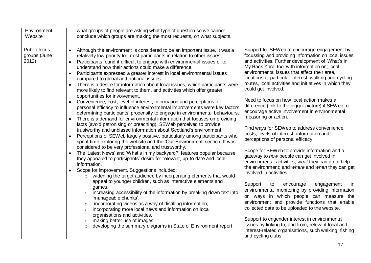|                                                                                                                                                                                                                                                                                                                                                                                                                                                                                                                                                                                                                                                                                                                                                                                                                                                                                                                                                                                                                                                                                                                                                                                                                                                                                                                                                                                                                                                                                                                                                                                                                                                                                                                                                                                                                                                                                                                                                                                                                                                                                                                                                                                                                                                                                                                                                                                                                                                                                                                                                                                                                                                                                                                                                                                                                                                                                                                                                                                                                                                                                                                                                                                                                                                                                                                                                                                                                                                                                                                                                                                                                               | Environment<br>Website |
|-------------------------------------------------------------------------------------------------------------------------------------------------------------------------------------------------------------------------------------------------------------------------------------------------------------------------------------------------------------------------------------------------------------------------------------------------------------------------------------------------------------------------------------------------------------------------------------------------------------------------------------------------------------------------------------------------------------------------------------------------------------------------------------------------------------------------------------------------------------------------------------------------------------------------------------------------------------------------------------------------------------------------------------------------------------------------------------------------------------------------------------------------------------------------------------------------------------------------------------------------------------------------------------------------------------------------------------------------------------------------------------------------------------------------------------------------------------------------------------------------------------------------------------------------------------------------------------------------------------------------------------------------------------------------------------------------------------------------------------------------------------------------------------------------------------------------------------------------------------------------------------------------------------------------------------------------------------------------------------------------------------------------------------------------------------------------------------------------------------------------------------------------------------------------------------------------------------------------------------------------------------------------------------------------------------------------------------------------------------------------------------------------------------------------------------------------------------------------------------------------------------------------------------------------------------------------------------------------------------------------------------------------------------------------------------------------------------------------------------------------------------------------------------------------------------------------------------------------------------------------------------------------------------------------------------------------------------------------------------------------------------------------------------------------------------------------------------------------------------------------------------------------------------------------------------------------------------------------------------------------------------------------------------------------------------------------------------------------------------------------------------------------------------------------------------------------------------------------------------------------------------------------------------------------------------------------------------------------------------------------------|------------------------|
| Public focus<br>Support for SEWeb to encourage engagement by<br>Although the environment is considered to be an important issue, it was a<br>focussing and providing information on local issues<br>groups (June<br>relatively low priority for most participants in relation to other issues.<br>and activities. Further development of 'What's in<br>2012)<br>Participants found it difficult to engage with environmental issues or to<br>$\bullet$<br>My Back Yard' tool with information on; local<br>understand how their actions could make a difference.<br>environmental issues that affect their area,<br>Participants expressed a greater interest in local environmental issues<br>$\bullet$<br>locations of particular interest, walking and cycling<br>compared to global and national issues.<br>routes, local activities and initiatives in which they<br>There is a desire for information about local issues, which participants were<br>$\bullet$<br>could get involved.<br>more likely to find relevant to them, and activities which offer greater<br>opportunities for involvement.<br>Need to focus on how local action makes a<br>Convenience, cost, level of interest, information and perceptions of<br>$\bullet$<br>difference (link to the bigger picture) if SEWeb to<br>personal efficacy to influence environmental improvements were key factors<br>encourage active involvement in environmental<br>determining participants' propensity to engage in environmental behaviours.<br>measuring or action.<br>There is a demand for environmental information that focuses on providing<br>$\bullet$<br>facts (avoid patronising or preaching). SEWeb perceived to provide<br>Find ways for SEWeb to address convenience,<br>trustworthy and unbiased information about Scotland's environment.<br>costs, levels of interest, information and<br>Perceptions of SEWeb largely positive, particularly among participants who<br>$\bullet$<br>perceptions of personal efficacy.<br>spent time exploring the website and the 'Our Environment' section. It was<br>considered to be very professional and trustworthy.<br>Scope for SEWeb to provide information and a<br>The 'Latest News' and 'What's in my backyard?' features popular because<br>$\bullet$<br>gateway to how people can get involved in<br>they appealed to participants' desire for relevant, up-to-date and local<br>environmental activities; what they can do to help<br>information.<br>the environment; and where and when they can get<br>Scope for improvement. Suggestions included:<br>$\bullet$<br>involved in activities.<br>widening the target audience by incorporating elements that would<br>$\circ$<br>appeal to younger children, such as interactive elements and<br>Support<br>to<br>encourage<br>engagement<br>games,<br>environmental monitoring by providing information<br>increasing accessibility of the information by breaking down text into<br>$\circ$<br>on ways in which people can measure the<br>'manageable chunks',<br>environment and provide functions that enable<br>incorporating videos as a way of distilling information,<br>collected data to be uploaded to the website.<br>incorporating more local news and information on local<br>organisations and activities,<br>Support to engender interest in environmental<br>making better use of images<br>$\circ$<br>issues by linking to, and from, relevant local and<br>developing the summary diagrams in State of Environment report.<br>$\circ$<br>interest-related organisations, such walking, fishing<br>and cycling clubs. |                        |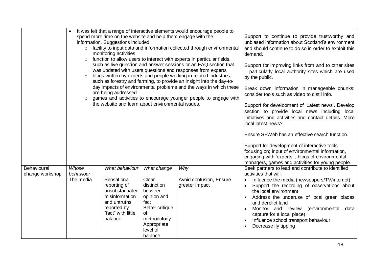|                                | $\circ$            | It was felt that a range of interactive elements would encourage people to<br>spend more time on the website and help them engage with the<br>information. Suggestions included:<br>o facility to input data and information collected through environmental<br>monitoring activities<br>function to allow users to interact with experts in particular fields,<br>such as live question and answer sessions or an FAQ section that | Support to continue to provide trustworthy and<br>unbiased information about Scotland's environment<br>and should continue to do so in order to exploit this<br>demand.          |                                           |                                                                                                                                                                                                                                                                                                                                                                                           |
|--------------------------------|--------------------|-------------------------------------------------------------------------------------------------------------------------------------------------------------------------------------------------------------------------------------------------------------------------------------------------------------------------------------------------------------------------------------------------------------------------------------|----------------------------------------------------------------------------------------------------------------------------------------------------------------------------------|-------------------------------------------|-------------------------------------------------------------------------------------------------------------------------------------------------------------------------------------------------------------------------------------------------------------------------------------------------------------------------------------------------------------------------------------------|
|                                |                    | was updated with users questions and responses from experts<br>blogs written by experts and people working in related industries,<br>such as forestry and farming, to provide an insight into the day-to-                                                                                                                                                                                                                           | Support for improving links from and to other sites<br>- particularly local authority sites which are used<br>by the public.                                                     |                                           |                                                                                                                                                                                                                                                                                                                                                                                           |
|                                |                    | day impacts of environmental problems and the ways in which these<br>are being addressed<br>games and activities to encourage younger people to engage with                                                                                                                                                                                                                                                                         | Break down information in manageable chunks;<br>consider tools such as video to distil info.                                                                                     |                                           |                                                                                                                                                                                                                                                                                                                                                                                           |
|                                |                    | the website and learn about environmental issues.                                                                                                                                                                                                                                                                                                                                                                                   | Support for development of 'Latest news'. Develop<br>section to provide local news including local<br>initiatives and activities and contact details. More<br>local latest news? |                                           |                                                                                                                                                                                                                                                                                                                                                                                           |
|                                |                    |                                                                                                                                                                                                                                                                                                                                                                                                                                     | Ensure SEWeb has an effective search function.                                                                                                                                   |                                           |                                                                                                                                                                                                                                                                                                                                                                                           |
|                                |                    | Support for development of interactive tools<br>focusing on; input of environmental information,<br>engaging with 'experts', blogs of environmental<br>managers, games and activities for young people.                                                                                                                                                                                                                             |                                                                                                                                                                                  |                                           |                                                                                                                                                                                                                                                                                                                                                                                           |
| Behavioural<br>change workshop | Whose<br>behaviour | What behaviour                                                                                                                                                                                                                                                                                                                                                                                                                      | What change                                                                                                                                                                      | Why                                       | Seek partners to lead and contribute to identified<br>activities that will:                                                                                                                                                                                                                                                                                                               |
|                                | The media          | Sensational<br>reporting of<br>unsubstantiated<br>misinformation<br>and untruths<br>reported by<br>"fact" with little<br>balance                                                                                                                                                                                                                                                                                                    | Clear<br>distinction<br>between<br>opinion and<br>fact<br>Better critique<br>of<br>methodology<br>Appropriate<br>level of<br>balance                                             | Avoid confusion, Ensure<br>greater impact | Influence the media (newspapers/TV/internet)<br>Support the recording of observations about<br>$\bullet$<br>the local environment<br>Address the underuse of local green places<br>$\bullet$<br>and derelict land<br>Monitor and review<br>(environmental<br>data<br>$\bullet$<br>capture for a local place)<br>Influence school transport behaviour<br>Decrease fly tipping<br>$\bullet$ |